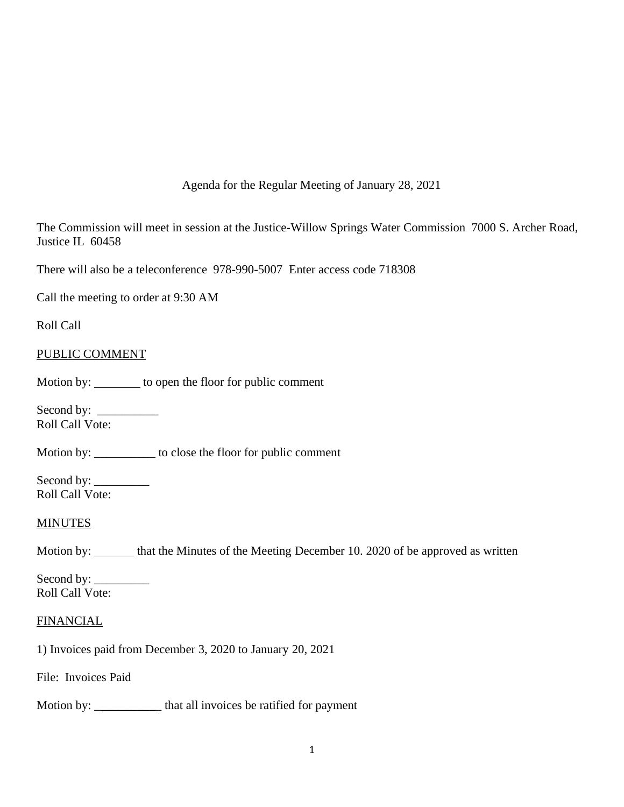Agenda for the Regular Meeting of January 28, 2021

The Commission will meet in session at the Justice-Willow Springs Water Commission 7000 S. Archer Road, Justice IL 60458

There will also be a teleconference 978-990-5007 Enter access code 718308

Call the meeting to order at 9:30 AM

Roll Call

### PUBLIC COMMENT

Motion by: \_\_\_\_\_\_\_ to open the floor for public comment

Second by: \_\_\_\_\_\_\_\_\_\_ Roll Call Vote:

Motion by: \_\_\_\_\_\_\_\_\_\_ to close the floor for public comment

Second by: \_\_\_\_\_\_\_\_\_ Roll Call Vote:

### **MINUTES**

Motion by: hat the Minutes of the Meeting December 10. 2020 of be approved as written

Second by: \_\_\_\_\_\_\_\_\_ Roll Call Vote:

### **FINANCIAL**

1) Invoices paid from December 3, 2020 to January 20, 2021

File: Invoices Paid

Motion by: \_\_\_\_\_\_\_\_\_\_\_\_ that all invoices be ratified for payment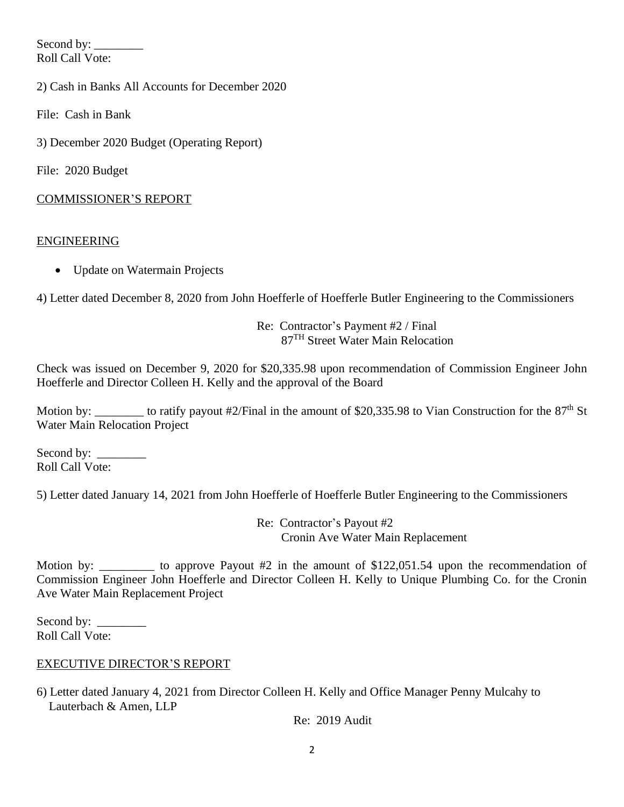Second by: \_\_\_\_\_\_\_\_ Roll Call Vote:

2) Cash in Banks All Accounts for December 2020

File: Cash in Bank

3) December 2020 Budget (Operating Report)

File: 2020 Budget

### COMMISSIONER'S REPORT

### ENGINEERING

• Update on Watermain Projects

4) Letter dated December 8, 2020 from John Hoefferle of Hoefferle Butler Engineering to the Commissioners

Re: Contractor's Payment #2 / Final 87TH Street Water Main Relocation

Check was issued on December 9, 2020 for \$20,335.98 upon recommendation of Commission Engineer John Hoefferle and Director Colleen H. Kelly and the approval of the Board

Motion by: to ratify payout #2/Final in the amount of \$20,335.98 to Vian Construction for the  $87<sup>th</sup>$  St Water Main Relocation Project

Second by: \_\_\_\_\_\_\_\_ Roll Call Vote:

5) Letter dated January 14, 2021 from John Hoefferle of Hoefferle Butler Engineering to the Commissioners

Re: Contractor's Payout #2 Cronin Ave Water Main Replacement

Motion by: \_\_\_\_\_\_\_\_\_ to approve Payout #2 in the amount of \$122,051.54 upon the recommendation of Commission Engineer John Hoefferle and Director Colleen H. Kelly to Unique Plumbing Co. for the Cronin Ave Water Main Replacement Project

Second by:  $\_\_$ Roll Call Vote:

## EXECUTIVE DIRECTOR'S REPORT

6) Letter dated January 4, 2021 from Director Colleen H. Kelly and Office Manager Penny Mulcahy to Lauterbach & Amen, LLP

Re: 2019 Audit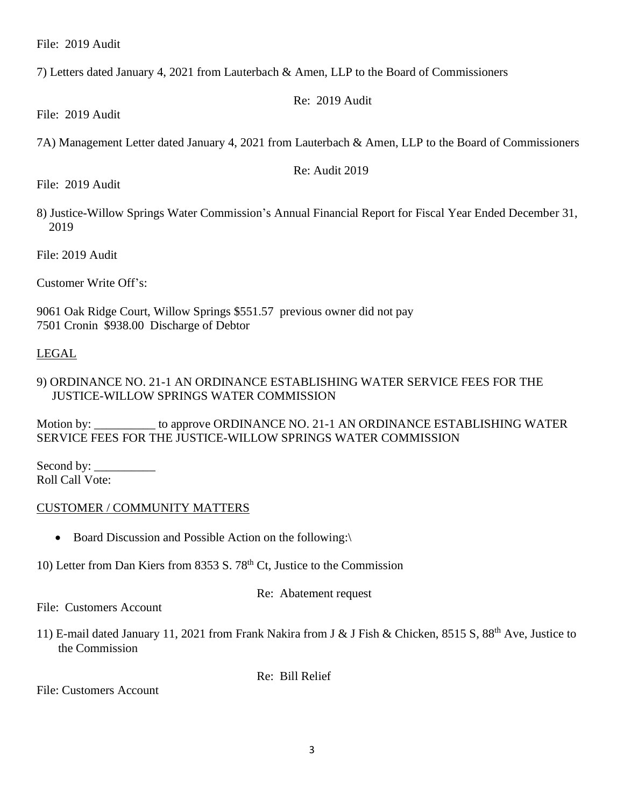File: 2019 Audit

7) Letters dated January 4, 2021 from Lauterbach & Amen, LLP to the Board of Commissioners

Re: 2019 Audit

File: 2019 Audit

7A) Management Letter dated January 4, 2021 from Lauterbach & Amen, LLP to the Board of Commissioners

Re: Audit 2019

File: 2019 Audit

8) Justice-Willow Springs Water Commission's Annual Financial Report for Fiscal Year Ended December 31, 2019

File: 2019 Audit

Customer Write Off's:

9061 Oak Ridge Court, Willow Springs \$551.57 previous owner did not pay 7501 Cronin \$938.00 Discharge of Debtor

### LEGAL

## 9) ORDINANCE NO. 21-1 AN ORDINANCE ESTABLISHING WATER SERVICE FEES FOR THE JUSTICE-WILLOW SPRINGS WATER COMMISSION

Motion by: to approve ORDINANCE NO. 21-1 AN ORDINANCE ESTABLISHING WATER SERVICE FEES FOR THE JUSTICE-WILLOW SPRINGS WATER COMMISSION

Second by:  $\_\_$ Roll Call Vote:

### CUSTOMER / COMMUNITY MATTERS

- Board Discussion and Possible Action on the following:
- 10) Letter from Dan Kiers from 8353 S.  $78<sup>th</sup>$  Ct, Justice to the Commission

Re: Abatement request

File: Customers Account

11) E-mail dated January 11, 2021 from Frank Nakira from J & J Fish & Chicken, 8515 S, 88th Ave, Justice to the Commission

Re: Bill Relief

File: Customers Account